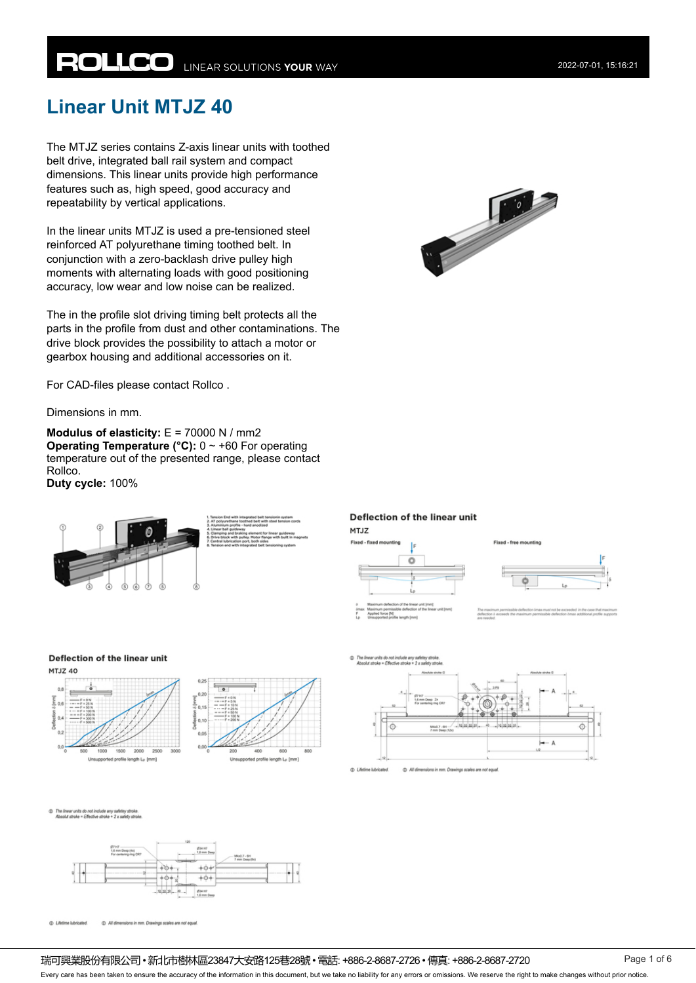# **ROLLCO** LINEAR SOLUTIONS YOUR WAY

## **Linear Unit MTJZ 40**

The MTJZ series contains Z-axis linear units with toothed belt drive, integrated ball rail system and compact dimensions. This linear units provide high performance features such as, high speed, good accuracy and repeatability by vertical applications.

In the linear units MTJZ is used a pre-tensioned steel reinforced AT polyurethane timing toothed belt. In conjunction with a zero-backlash drive pulley high moments with alternating loads with good positioning accuracy, low wear and low noise can be realized.

The in the profile slot driving timing belt protects all the parts in the profile from dust and other contaminations. The drive block provides the possibility to attach a motor or gearbox housing and additional accessories on it.

For CAD-files please contact Rollco .

Dimensions in mm.

**Modulus of elasticity:** E = 70000 N / mm2 **Operating Temperature (°C):**  $0 \sim +60$  For operating temperature out of the presented range, please contact Rollco. **Duty cycle:** 100%







#### Deflection of the linear unit

**MTJZ** 



Fixed - free mounting

ó

Deflection of the linear unit









The linear units do not include any safetey strok<br>Absolut stroke = Effective stroke + 2 x safety str



C Lifetime Iubricated (D) All dimensions in mm, Drawings scales are not equal

#### 瑞可興業股份有限公司 • 新北市樹林區23847大安路125巷28號 • 電話: +886-2-8687-2726 • 傳真: +886-2-8687-2720 Page 1 of 6

Every care has been taken to ensure the accuracy of the information in this document, but we take no liability for any errors or omissions. We reserve the right to make changes without prior notice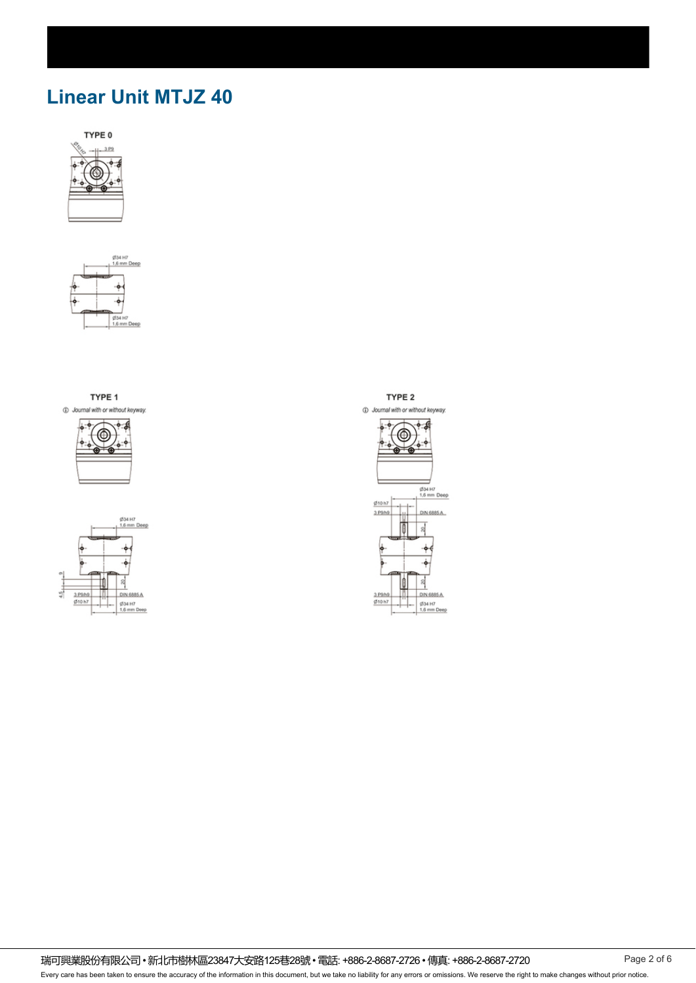# **Linear Unit MTJZ 40**





TYPE 1 1 Journal with or without keyway.





TYPE<sub>2</sub>



瑞可興業股份有限公司 • 新北市樹林區23847大安路125巷28號 • 電話: +886-2-8687-2726 • 傳真: +886-2-8687-2720 Page 2 of 6 Every care has been taken to ensure the accuracy of the information in this document, but we take no liability for any errors or omissions. We reserve the right to make changes without prior notice.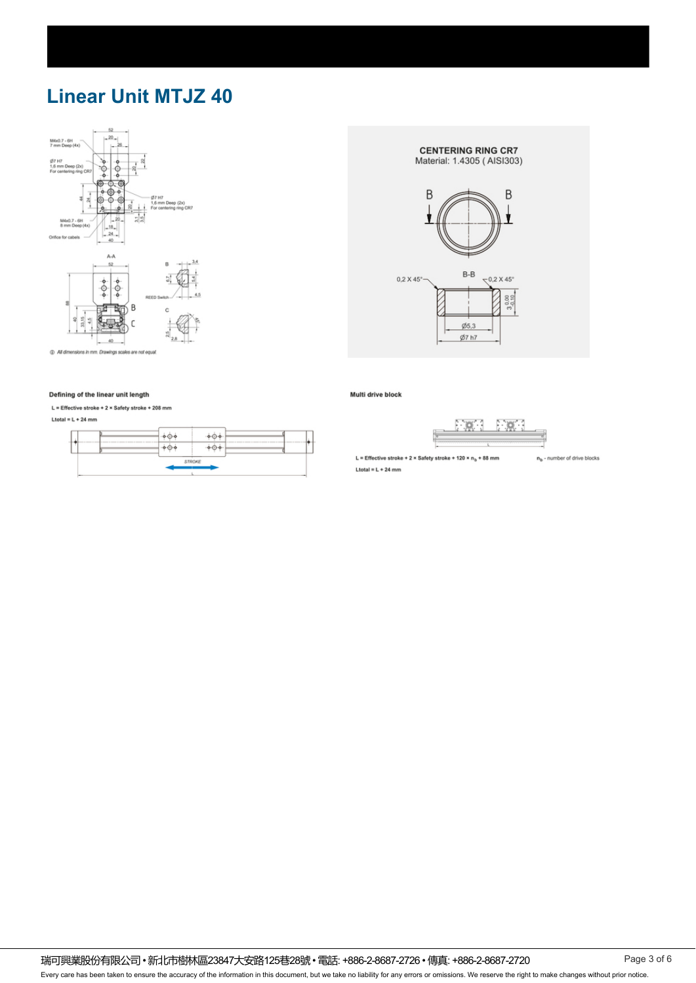# **Linear Unit MTJZ 40**



**CENTERING RING CR7** Material: 1.4305 (AISI303)





1 All dimensions in mm. Drawings scales are not equal

#### Defining of the linear unit length

L = Effective stroke + 2 × Safety stroke + 208 mm

#### Ltotal = L + 24 mm



Multi drive block



L = Effective stroke + 2 × Safety stroke + 120 ×  $n_b$  + 88 mm Ltotal =  $L + 24$  mm

 $n_b$  - number of drive blocks

瑞可興業股份有限公司 • 新北市樹林區23847大安路125巷28號 • 電話: +886-2-8687-2726 • 傳真: +886-2-8687-2720 Page 3 of 6 Every care has been taken to ensure the accuracy of the information in this document, but we take no liability for any errors or omissions. We reserve the right to make changes without prior notice.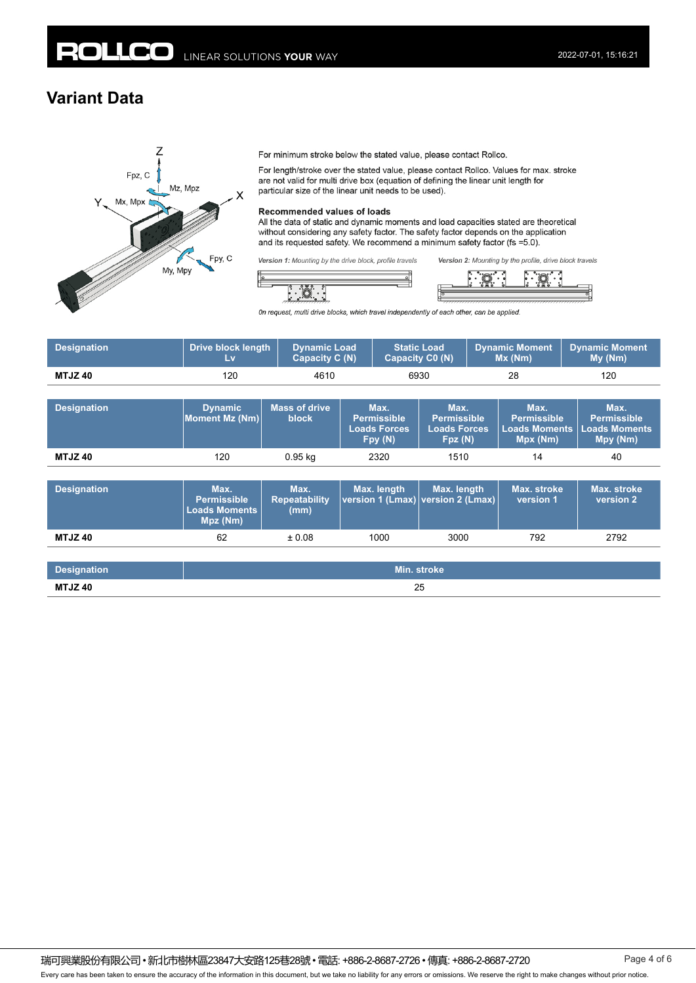### **Variant Data**



For minimum stroke below the stated value, please contact Rollco.

For length/stroke over the stated value, please contact Rollco. Values for max. stroke are not valid for multi drive box (equation of defining the linear unit length for particular size of the linear unit needs to be used).

#### Recommended values of loads

All the data of static and dynamic moments and load capacities stated are theoretical without considering any safety factor. The safety factor depends on the application and its requested safety. We recommend a minimum safety factor (fs =5.0).

Version 1: Mounting by the drive block, profile travels

<u>:0</u>



On request, multi drive blocks, which travel independently of each other, can be applied.

| <b>Designation</b> | <b>Drive block length</b><br>Lv                                | <b>Dynamic Load</b><br><b>Capacity C (N)</b> |                                                              | <b>Static Load</b><br><b>Capacity C0 (N)</b>                | <b>Dynamic Moment</b><br>Mx(Nm)                                | <b>Dynamic Moment</b><br>My (Nm)                               |
|--------------------|----------------------------------------------------------------|----------------------------------------------|--------------------------------------------------------------|-------------------------------------------------------------|----------------------------------------------------------------|----------------------------------------------------------------|
| <b>MTJZ40</b>      | 120                                                            | 4610                                         |                                                              | 6930                                                        | 28                                                             | 120                                                            |
|                    |                                                                |                                              |                                                              |                                                             |                                                                |                                                                |
| <b>Designation</b> | <b>Dynamic</b><br>Moment Mz (Nm)                               | <b>Mass of drive</b><br><b>block</b>         | Max.<br><b>Permissible</b><br><b>Loads Forces</b><br>Fpy (N) | Max.<br><b>Permissible</b><br><b>Loads Forces</b><br>Fpz(N) | Max.<br><b>Permissible</b><br><b>Loads Moments</b><br>Mpx (Nm) | Max.<br><b>Permissible</b><br><b>Loads Moments</b><br>Mpy (Nm) |
| <b>MTJZ40</b>      | 120                                                            | $0.95$ kg                                    | 2320                                                         | 1510                                                        | 14                                                             | 40                                                             |
|                    |                                                                |                                              |                                                              |                                                             |                                                                |                                                                |
| <b>Designation</b> | Max.<br><b>Permissible</b><br><b>Loads Moments</b><br>Mpz (Nm) | Max.<br><b>Repeatability</b><br>(mm)         | Max. length<br>version 1 (Lmax)                              | Max. length<br>version 2 (Lmax)                             | Max. stroke<br>version 1                                       | Max. stroke<br>version 2                                       |

| Designation   | Min. stroke <b>\</b> |
|---------------|----------------------|
| <b>MTJZ40</b> | OE                   |
|               | 25                   |

**MTJZ 40** 62 ± 0.08 1000 3000 792 2792

Every care has been taken to ensure the accuracy of the information in this document, but we take no liability for any errors or omissions. We reserve the right to make changes without prior notice.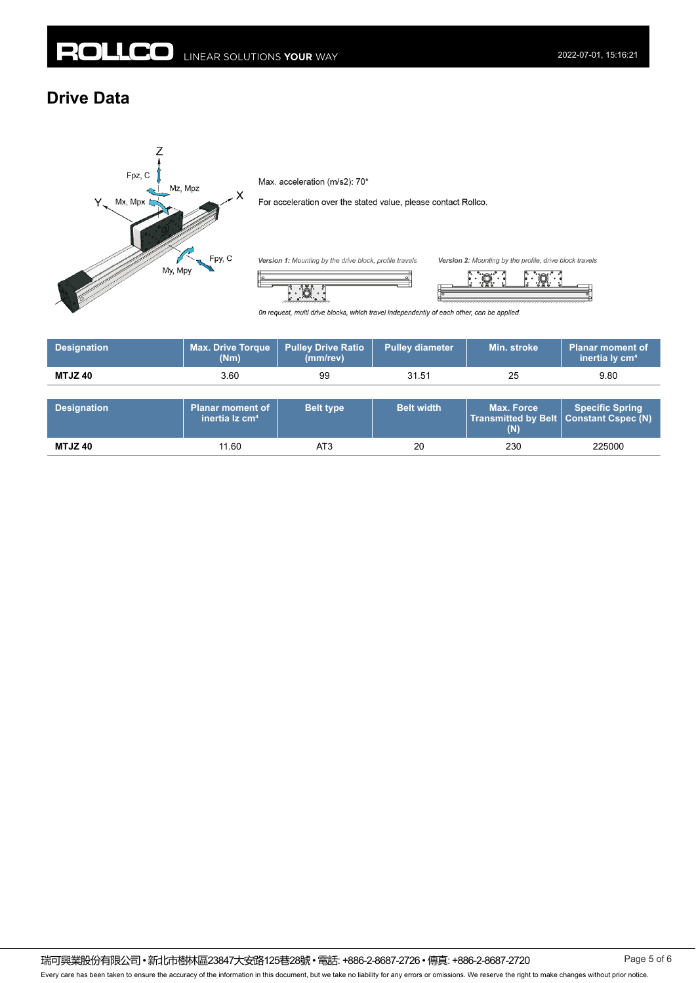### **Drive Data**



Max. acceleration (m/s2): 70\*

 $\ddot{\circ}$  $\int_{0}^{\infty}$ 

For acceleration over the stated value, please contact Rollco.

Version 1: Mounting by the drive block, profile travels



On request, multi drive blocks, which travel independently of each other, can be applied.

| <b>Designation</b> | <b>Max. Drive Torque</b><br>(Nm) | <b>Pulley Drive Ratio</b><br>(mm/rev) | <b>Pulley diameter</b> | Min. stroke | <b>Planar moment of</b><br>inertia ly cm <sup>4</sup> |
|--------------------|----------------------------------|---------------------------------------|------------------------|-------------|-------------------------------------------------------|
| <b>MTJZ40</b>      | 3.60                             | 99                                    | 31.51                  | 25          | 9.80                                                  |

| <b>Designation</b> | <b>Planar moment of</b><br>inertia lz cm <sup>4</sup> | <b>Belt type</b> | <b>Belt width</b> | <b>Max. Force</b><br>Transmitted by Belt   Constant Cspec (N) | <b>Specific Spring</b> |
|--------------------|-------------------------------------------------------|------------------|-------------------|---------------------------------------------------------------|------------------------|
| MTJZ 40            | 11.60                                                 | AT3              | 20                | 230                                                           | 225000                 |

瑞可興業股份有限公司 • 新北市樹林區23847大安路125巷28號 • 電話: +886-2-8687-2726 • 傳真: +886-2-8687-2720 Page 5 of 6 Every care has been taken to ensure the accuracy of the information in this document, but we take no liability for any errors or omissions. We reserve the right to make changes without prior notice.